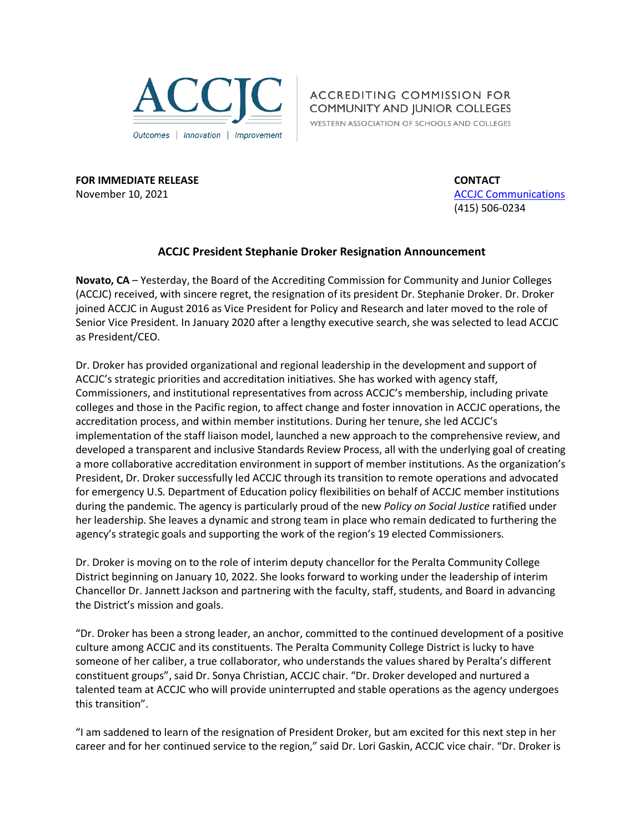

**ACCREDITING COMMISSION FOR** COMMUNITY AND JUNIOR COLLEGES WESTERN ASSOCIATION OF SCHOOLS AND COLLEGES

**FOR IMMEDIATE RELEASE CONTACT** November 10, 2021 **ACCJC** Communications

(415) 506-0234

## **ACCJC President Stephanie Droker Resignation Announcement**

**Novato, CA** – Yesterday, the Board of the Accrediting Commission for Community and Junior Colleges (ACCJC) received, with sincere regret, the resignation of its president Dr. Stephanie Droker. Dr. Droker joined ACCJC in August 2016 as Vice President for Policy and Research and later moved to the role of Senior Vice President. In January 2020 after a lengthy executive search, she was selected to lead ACCJC as President/CEO.

Dr. Droker has provided organizational and regional leadership in the development and support of ACCJC's strategic priorities and accreditation initiatives. She has worked with agency staff, Commissioners, and institutional representatives from across ACCJC's membership, including private colleges and those in the Pacific region, to affect change and foster innovation in ACCJC operations, the accreditation process, and within member institutions. During her tenure, she led ACCJC's implementation of the staff liaison model, launched a new approach to the comprehensive review, and developed a transparent and inclusive Standards Review Process, all with the underlying goal of creating a more collaborative accreditation environment in support of member institutions. As the organization's President, Dr. Droker successfully led ACCJC through its transition to remote operations and advocated for emergency U.S. Department of Education policy flexibilities on behalf of ACCJC member institutions during the pandemic. The agency is particularly proud of the new *Policy on Social Justice* ratified under her leadership. She leaves a dynamic and strong team in place who remain dedicated to furthering the agency's strategic goals and supporting the work of the region's 19 elected Commissioners.

Dr. Droker is moving on to the role of interim deputy chancellor for the Peralta Community College District beginning on January 10, 2022. She looks forward to working under the leadership of interim Chancellor Dr. Jannett Jackson and partnering with the faculty, staff, students, and Board in advancing the District's mission and goals.

"Dr. Droker has been a strong leader, an anchor, committed to the continued development of a positive culture among ACCJC and its constituents. The Peralta Community College District is lucky to have someone of her caliber, a true collaborator, who understands the values shared by Peralta's different constituent groups", said Dr. Sonya Christian, ACCJC chair. "Dr. Droker developed and nurtured a talented team at ACCJC who will provide uninterrupted and stable operations as the agency undergoes this transition".

"I am saddened to learn of the resignation of President Droker, but am excited for this next step in her career and for her continued service to the region," said Dr. Lori Gaskin, ACCJC vice chair. "Dr. Droker is